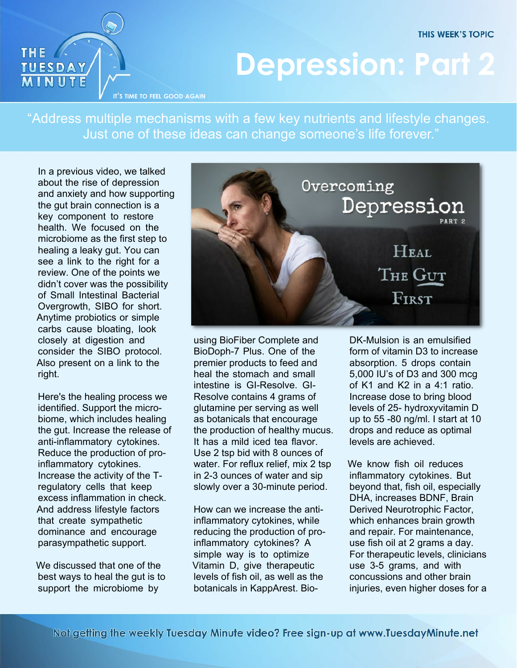**THIS WEEK'S TOPIC** 



## **Depression: Part 2**

**IT'S TIME TO FEEL GOOD AGAIN**

"Address multiple mechanisms with a few key nutrients and lifestyle changes. Just one of these ideas can change someone's life forever."

In a previous video, we talked about the rise of depression and anxiety and how supporting the gut brain connection is a key component to restore health. We focused on the microbiome as the first step to healing a leaky gut. You can see a link to the right for a review. One of the points we didn't cover was the possibility of Small Intestinal Bacterial Overgrowth, SIBO for short. Anytime probiotics or simple carbs cause bloating, look closely at digestion and consider the SIBO protocol. Also present on a link to the right.

Here's the healing process we identified. Support the microbiome, which includes healing the gut. Increase the release of anti-inflammatory cytokines. Reduce the production of proinflammatory cytokines. Increase the activity of the Tregulatory cells that keep excess inflammation in check. And address lifestyle factors that create sympathetic dominance and encourage parasympathetic support.

We discussed that one of the best ways to heal the gut is to support the microbiome by



using BioFiber Complete and BioDoph-7 Plus. One of the premier products to feed and heal the stomach and small intestine is GI-Resolve. GI-Resolve contains 4 grams of glutamine per serving as well as botanicals that encourage the production of healthy mucus. It has a mild iced tea flavor. Use 2 tsp bid with 8 ounces of water. For reflux relief, mix 2 tsp in 2-3 ounces of water and sip slowly over a 30-minute period.

How can we increase the antiinflammatory cytokines, while reducing the production of proinflammatory cytokines? A simple way is to optimize Vitamin D, give therapeutic levels of fish oil, as well as the botanicals in KappArest. BioDK-Mulsion is an emulsified form of vitamin D3 to increase absorption. 5 drops contain 5,000 IU's of D3 and 300 mcg of K1 and K2 in a 4:1 ratio. Increase dose to bring blood levels of 25- hydroxyvitamin D up to 55 -80 ng/ml. I start at 10 drops and reduce as optimal levels are achieved.

We know fish oil reduces inflammatory cytokines. But beyond that, fish oil, especially DHA, increases BDNF, Brain Derived Neurotrophic Factor, which enhances brain growth and repair. For maintenance, use fish oil at 2 grams a day. For therapeutic levels, clinicians use 3-5 grams, and with concussions and other brain injuries, even higher doses for a